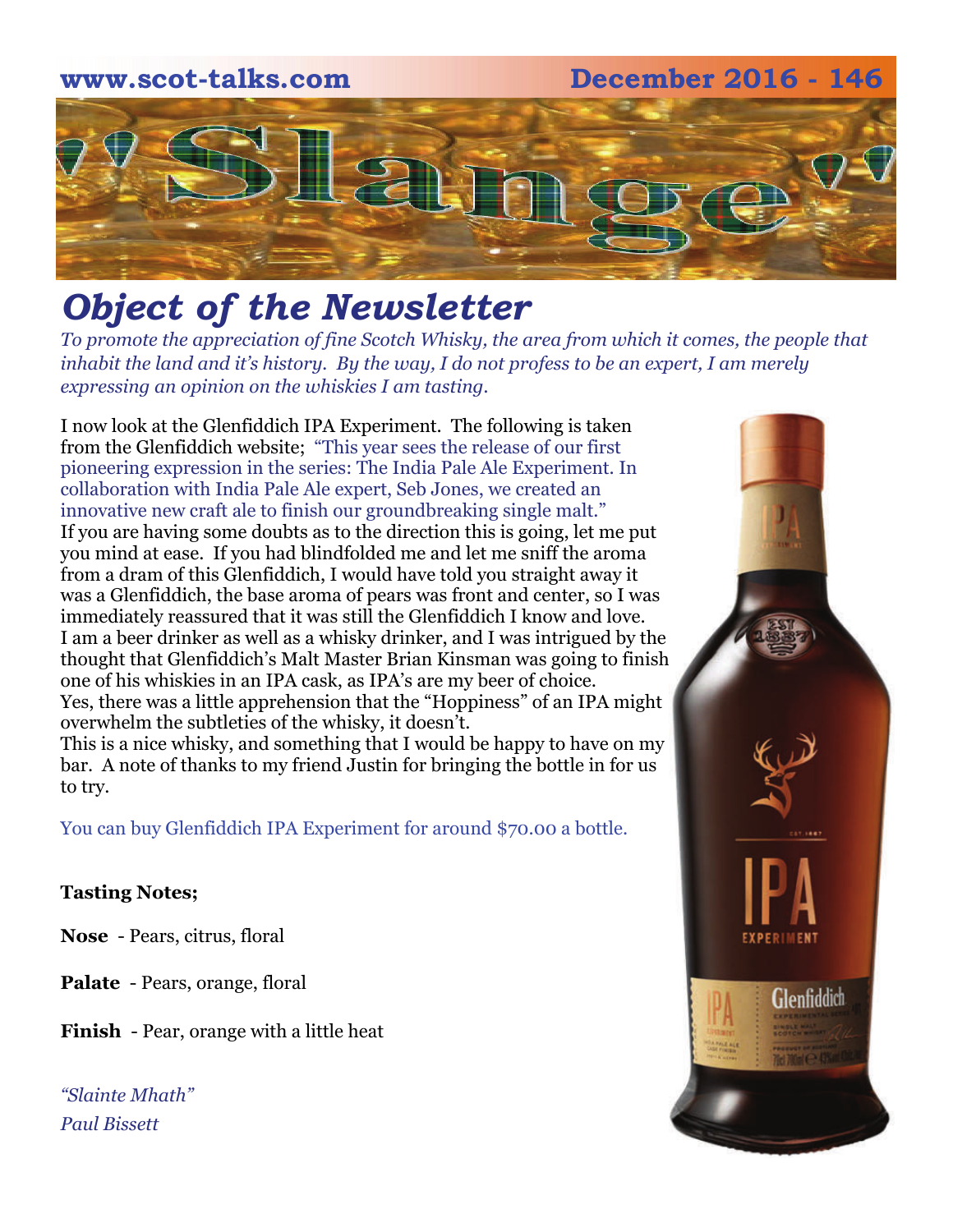## **www.scot-talks.com December 2016 - 146** 2

### *Object of the Newsletter*

*To promote the appreciation of fine Scotch Whisky, the area from which it comes, the people that inhabit the land and it's history. By the way, I do not profess to be an expert, I am merely expressing an opinion on the whiskies I am tasting.* 

I now look at the Glenfiddich IPA Experiment. The following is taken from the Glenfiddich website; "This year sees the release of our first pioneering expression in the series: The India Pale Ale Experiment. In collaboration with India Pale Ale expert, Seb Jones, we created an innovative new craft ale to finish our groundbreaking single malt." If you are having some doubts as to the direction this is going, let me put you mind at ease. If you had blindfolded me and let me sniff the aroma from a dram of this Glenfiddich, I would have told you straight away it was a Glenfiddich, the base aroma of pears was front and center, so I was immediately reassured that it was still the Glenfiddich I know and love. I am a beer drinker as well as a whisky drinker, and I was intrigued by the thought that Glenfiddich's Malt Master Brian Kinsman was going to finish one of his whiskies in an IPA cask, as IPA's are my beer of choice. Yes, there was a little apprehension that the "Hoppiness" of an IPA might overwhelm the subtleties of the whisky, it doesn't.

This is a nice whisky, and something that I would be happy to have on my bar. A note of thanks to my friend Justin for bringing the bottle in for us to try.

You can buy Glenfiddich IPA Experiment for around \$70.00 a bottle.

#### **Tasting Notes;**

**Nose** - Pears, citrus, floral

**Palate** - Pears, orange, floral

**Finish** - Pear, orange with a little heat

*"Slainte Mhath" Paul Bissett*

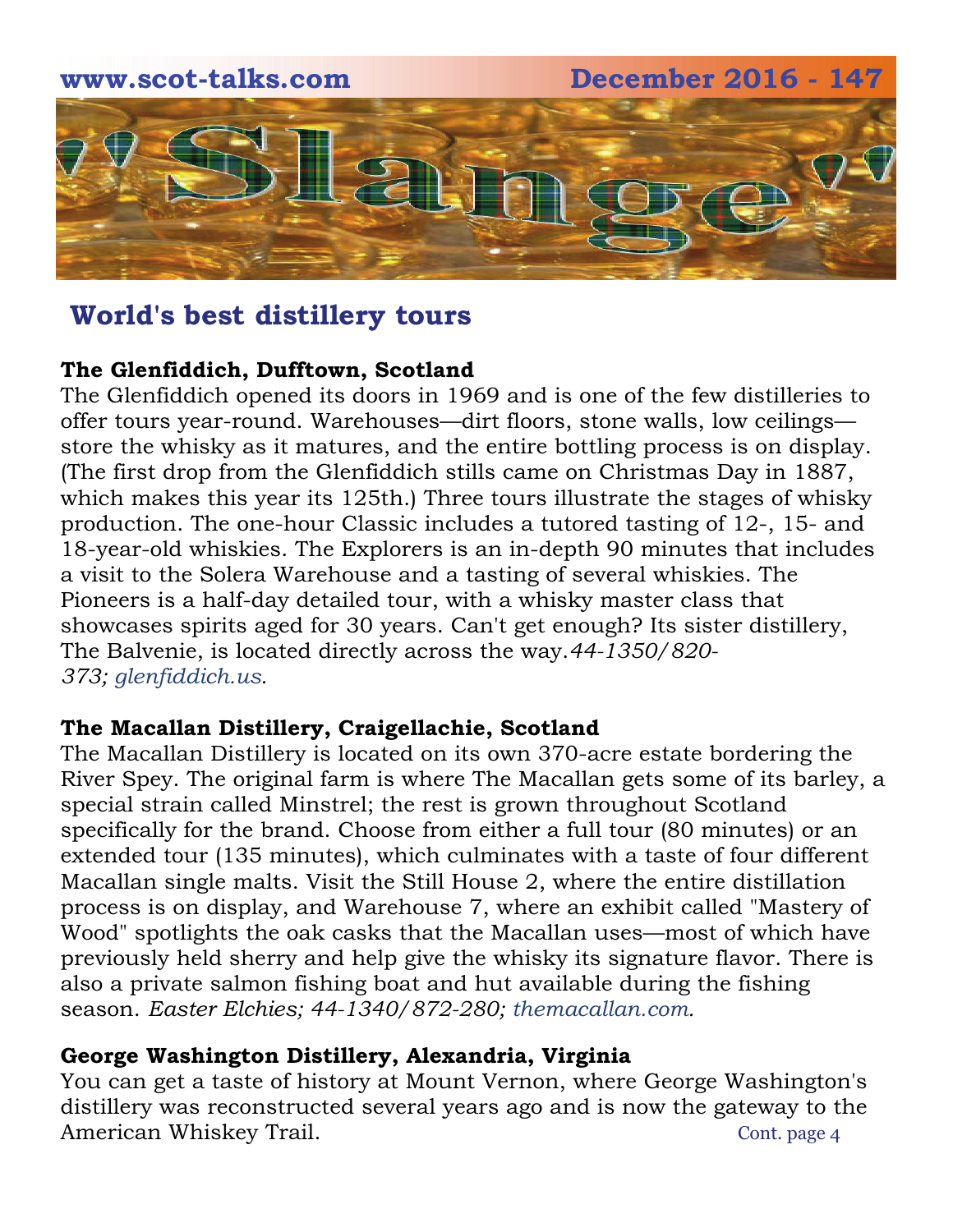

#### **The Glenfiddich, Dufftown, Scotland**

The Glenfiddich opened its doors in 1969 and is one of the few distilleries to offer tours year-round. Warehouses—dirt floors, stone walls, low ceilings store the whisky as it matures, and the entire bottling process is on display. (The first drop from the Glenfiddich stills came on Christmas Day in 1887, which makes this year its 125th.) Three tours illustrate the stages of whisky production. The one-hour Classic includes a tutored tasting of 12-, 15- and 18-year-old whiskies. The Explorers is an in-depth 90 minutes that includes a visit to the Solera Warehouse and a tasting of several whiskies. The Pioneers is a half-day detailed tour, with a whisky master class that showcases spirits aged for 30 years. Can't get enough? Its sister distillery, The Balvenie, is located directly across the way.*44-1350/820- 373; [glenfiddich.us](http://www.glenfiddich.us/lda/?h=glenfiddich.us&u=).*

#### **The Macallan Distillery, Craigellachie, Scotland**

The Macallan Distillery is located on its own 370-acre estate bordering the River Spey. The original farm is where The Macallan gets some of its barley, a special strain called Minstrel; the rest is grown throughout Scotland specifically for the brand. Choose from either a full tour (80 minutes) or an extended tour (135 minutes), which culminates with a taste of four different Macallan single malts. Visit the Still House 2, where the entire distillation process is on display, and Warehouse 7, where an exhibit called "Mastery of Wood" spotlights the oak casks that the Macallan uses—most of which have previously held sherry and help give the whisky its signature flavor. There is also a private salmon fishing boat and hut available during the fishing season. *Easter Elchies; 44-1340/872-280; [themacallan.com](http://www.themacallan.com/home.aspx).*

#### **George Washington Distillery, Alexandria, Virginia**

You can get a taste of history at Mount Vernon, where George Washington's distillery was reconstructed several years ago and is now the gateway to the American Whiskey Trail. The context of the context of the context of  $\alpha$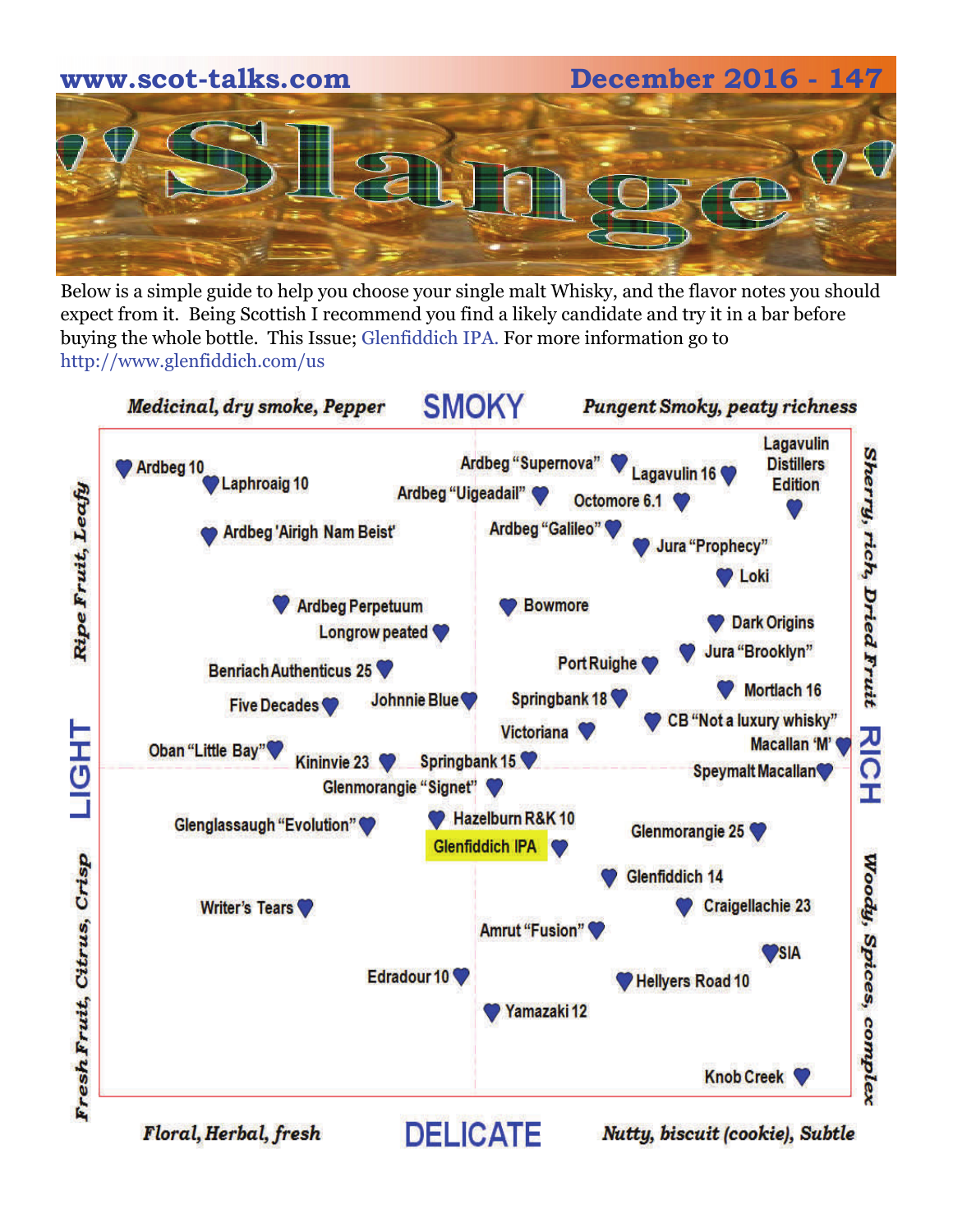# **www.scot-talks.com December 2016 - 147**

Below is a simple guide to help you choose your single malt Whisky, and the flavor notes you should expect from it. Being Scottish I recommend you find a likely candidate and try it in a bar before buying the whole bottle. This Issue; Glenfiddich IPA. For more information go to http://www.glenfiddich.com/us



Floral, Herbal, fresh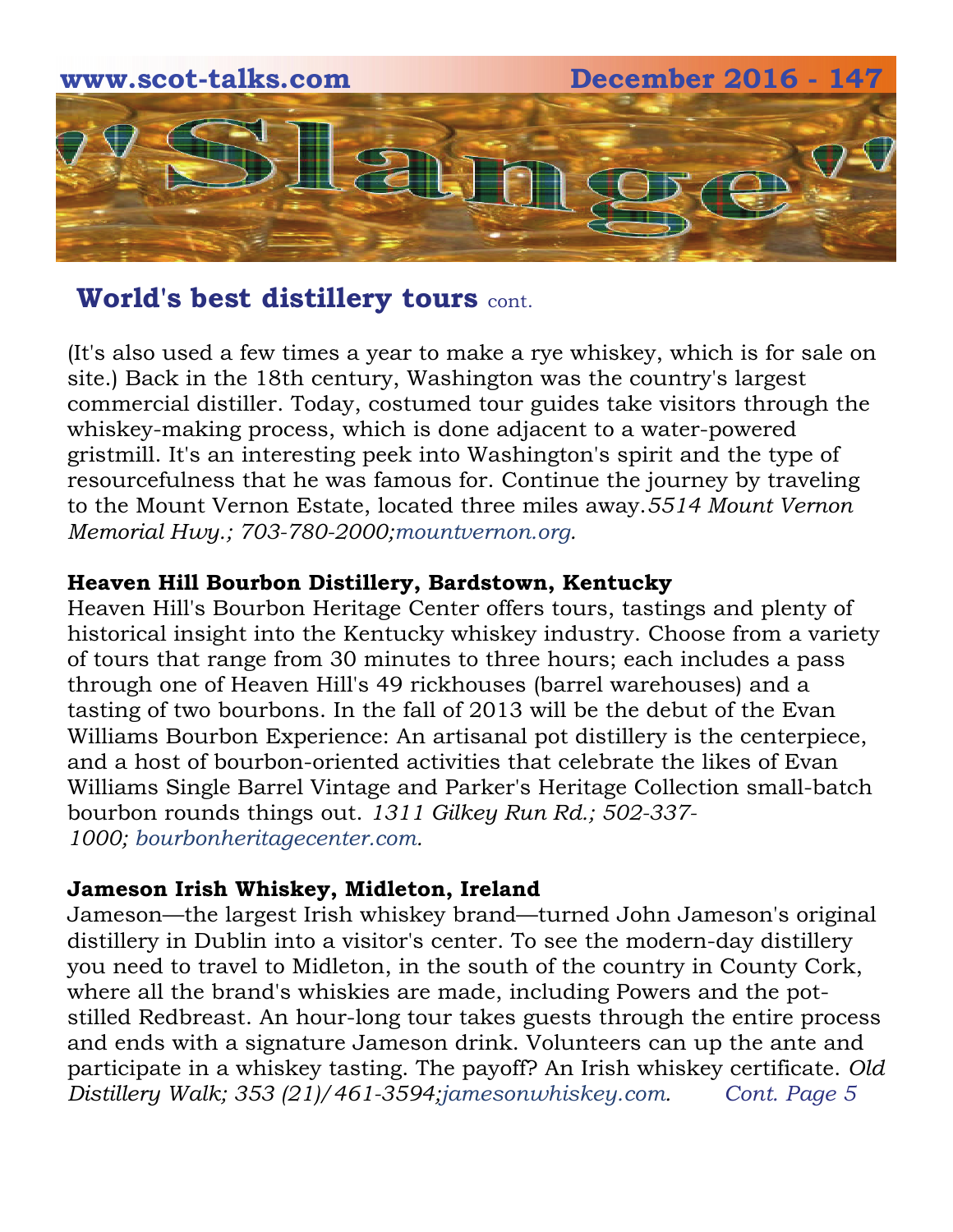

(It's also used a few times a year to make a rye whiskey, which is for sale on site.) Back in the 18th century, Washington was the country's largest commercial distiller. Today, costumed tour guides take visitors through the whiskey-making process, which is done adjacent to a water-powered gristmill. It's an interesting peek into Washington's spirit and the type of resourcefulness that he was famous for. Continue the journey by traveling to the Mount Vernon Estate, located three miles away.*5514 Mount Vernon Memorial Hwy.; 703-780-2000;[mountvernon.org.](http://www.mountvernon.org/)*

#### **Heaven Hill Bourbon Distillery, Bardstown, Kentucky**

Heaven Hill's Bourbon Heritage Center offers tours, tastings and plenty of historical insight into the Kentucky whiskey industry. Choose from a variety of tours that range from 30 minutes to three hours; each includes a pass through one of Heaven Hill's 49 rickhouses (barrel warehouses) and a tasting of two bourbons. In the fall of 2013 will be the debut of the Evan Williams Bourbon Experience: An artisanal pot distillery is the centerpiece, and a host of bourbon-oriented activities that celebrate the likes of Evan Williams Single Barrel Vintage and Parker's Heritage Collection small-batch bourbon rounds things out. *1311 Gilkey Run Rd.; 502-337- 1000; [bourbonheritagecenter.com.](http://www.bourbonheritagecenter.com/)*

#### **Jameson Irish Whiskey, Midleton, Ireland**

Jameson—the largest Irish whiskey brand—turned John Jameson's original distillery in Dublin into a visitor's center. To see the modern-day distillery you need to travel to Midleton, in the south of the country in County Cork, where all the brand's whiskies are made, including Powers and the potstilled Redbreast. An hour-long tour takes guests through the entire process and ends with a signature Jameson drink. Volunteers can up the ante and participate in a whiskey tasting. The payoff? An Irish whiskey certificate. *Old Distillery Walk; 353 (21)/461-3594;[jamesonwhiskey.com.](http://www.jamesonwhiskey.com/age_verification.aspx) Cont. Page 5*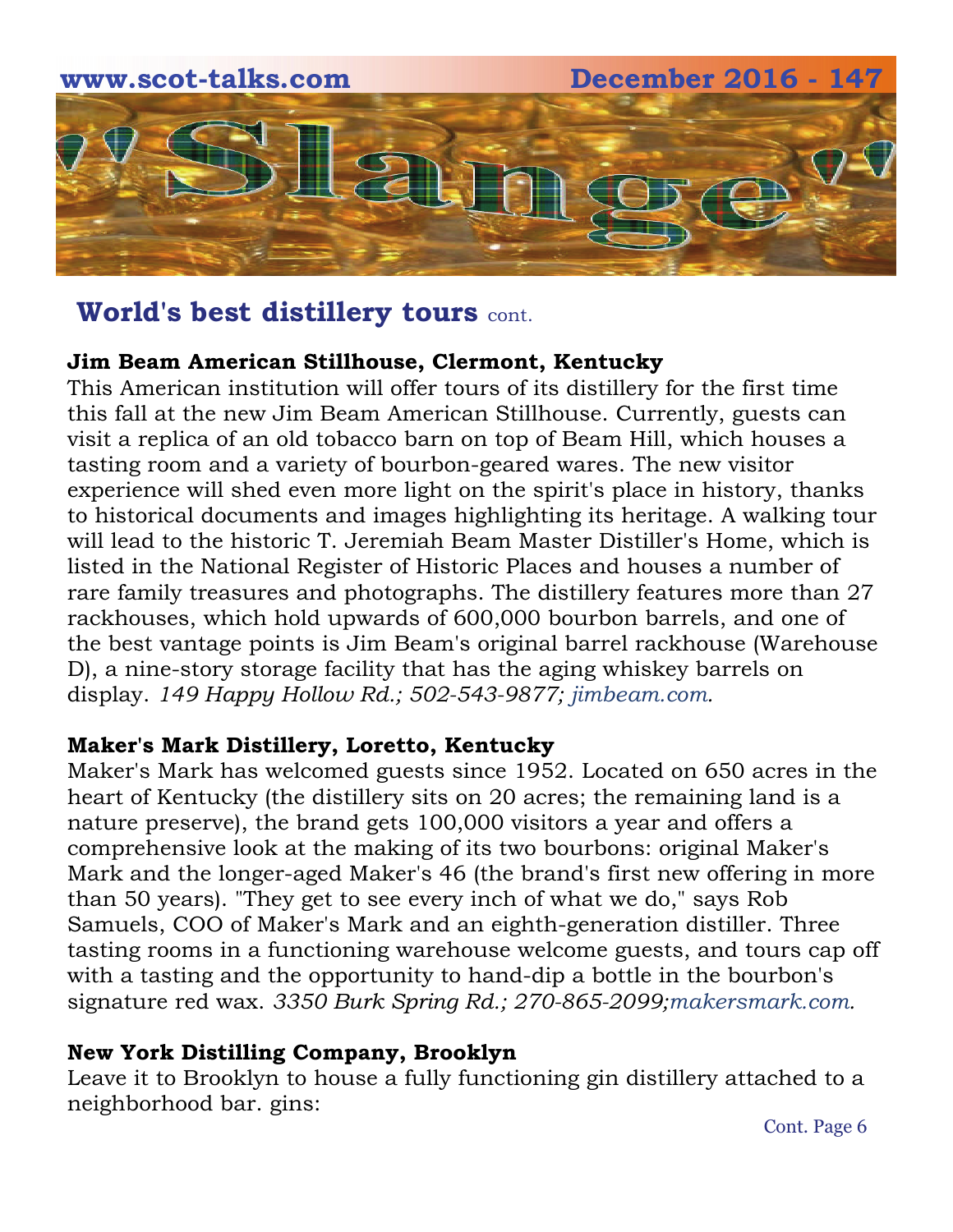

#### **Jim Beam American Stillhouse, Clermont, Kentucky**

This American institution will offer tours of its distillery for the first time this fall at the new Jim Beam American Stillhouse. Currently, guests can visit a replica of an old tobacco barn on top of Beam Hill, which houses a tasting room and a variety of bourbon-geared wares. The new visitor experience will shed even more light on the spirit's place in history, thanks to historical documents and images highlighting its heritage. A walking tour will lead to the historic T. Jeremiah Beam Master Distiller's Home, which is listed in the National Register of Historic Places and houses a number of rare family treasures and photographs. The distillery features more than 27 rackhouses, which hold upwards of 600,000 bourbon barrels, and one of the best vantage points is Jim Beam's original barrel rackhouse (Warehouse D), a nine-story storage facility that has the aging whiskey barrels on display. *149 Happy Hollow Rd.; 502-543-9877; [jimbeam.com](http://www.jimbeam.com/).*

#### **Maker's Mark Distillery, Loretto, Kentucky**

Maker's Mark has welcomed guests since 1952. Located on 650 acres in the heart of Kentucky (the distillery sits on 20 acres; the remaining land is a nature preserve), the brand gets 100,000 visitors a year and offers a comprehensive look at the making of its two bourbons: original Maker's Mark and the longer-aged Maker's 46 (the brand's first new offering in more than 50 years). "They get to see every inch of what we do," says Rob Samuels, COO of Maker's Mark and an eighth-generation distiller. Three tasting rooms in a functioning warehouse welcome guests, and tours cap off with a tasting and the opportunity to hand-dip a bottle in the bourbon's signature red wax. *3350 Burk Spring Rd.; 270-865-2099;[makersmark.com.](http://www.makersmark.com/age-verification)* 

#### **New York Distilling Company, Brooklyn**

Leave it to Brooklyn to house a fully functioning gin distillery attached to a neighborhood bar. gins: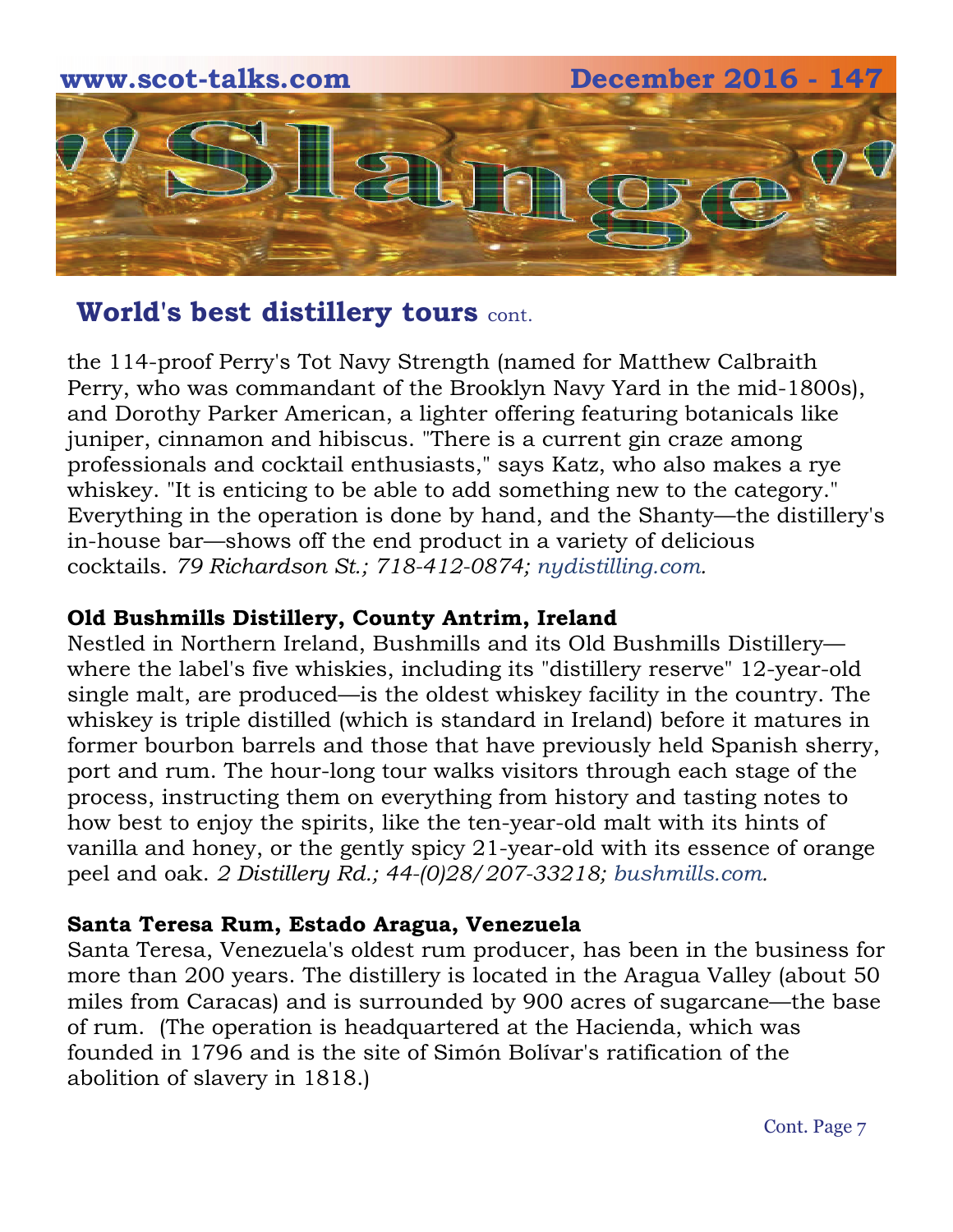

the 114-proof Perry's Tot Navy Strength (named for Matthew Calbraith Perry, who was commandant of the Brooklyn Navy Yard in the mid-1800s), and Dorothy Parker American, a lighter offering featuring botanicals like juniper, cinnamon and hibiscus. "There is a current gin craze among professionals and cocktail enthusiasts," says Katz, who also makes a rye whiskey. "It is enticing to be able to add something new to the category." Everything in the operation is done by hand, and the Shanty—the distillery's in-house bar—shows off the end product in a variety of delicious cocktails. *79 Richardson St.; 718-412-0874; [nydistilling.com.](http://nydistilling.com/)*

#### **Old Bushmills Distillery, County Antrim, Ireland**

Nestled in Northern Ireland, Bushmills and its Old Bushmills Distillery where the label's five whiskies, including its "distillery reserve" 12-year-old single malt, are produced—is the oldest whiskey facility in the country. The whiskey is triple distilled (which is standard in Ireland) before it matures in former bourbon barrels and those that have previously held Spanish sherry, port and rum. The hour-long tour walks visitors through each stage of the process, instructing them on everything from history and tasting notes to how best to enjoy the spirits, like the ten-year-old malt with its hints of vanilla and honey, or the gently spicy 21-year-old with its essence of orange peel and oak. *2 Distillery Rd.; 44-(0)28/207-33218; [bushmills.com.](http://www.bushmills.com/)* 

#### **Santa Teresa Rum, Estado Aragua, Venezuela**

Santa Teresa, Venezuela's oldest rum producer, has been in the business for more than 200 years. The distillery is located in the Aragua Valley (about 50 miles from Caracas) and is surrounded by 900 acres of sugarcane—the base of rum. (The operation is headquartered at the Hacienda, which was founded in 1796 and is the site of Simón Bolívar's ratification of the abolition of slavery in 1818.)